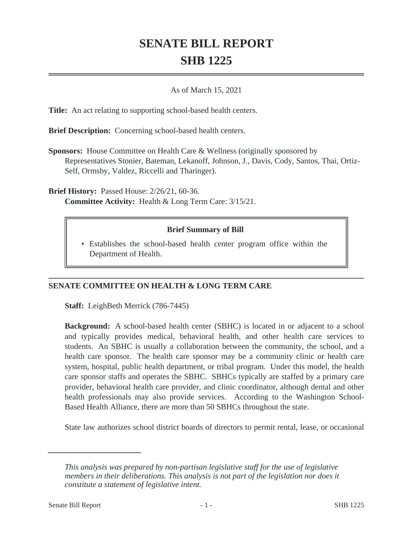## **SENATE BILL REPORT SHB 1225**

## As of March 15, 2021

**Title:** An act relating to supporting school-based health centers.

**Brief Description:** Concerning school-based health centers.

**Sponsors:** House Committee on Health Care & Wellness (originally sponsored by Representatives Stonier, Bateman, Lekanoff, Johnson, J., Davis, Cody, Santos, Thai, Ortiz-Self, Ormsby, Valdez, Riccelli and Tharinger).

**Brief History:** Passed House: 2/26/21, 60-36. **Committee Activity:** Health & Long Term Care: 3/15/21.

## **Brief Summary of Bill**

Establishes the school-based health center program office within the • Department of Health.

## **SENATE COMMITTEE ON HEALTH & LONG TERM CARE**

**Staff:** LeighBeth Merrick (786-7445)

**Background:** A school-based health center (SBHC) is located in or adjacent to a school and typically provides medical, behavioral health, and other health care services to students. An SBHC is usually a collaboration between the community, the school, and a health care sponsor. The health care sponsor may be a community clinic or health care system, hospital, public health department, or tribal program. Under this model, the health care sponsor staffs and operates the SBHC. SBHCs typically are staffed by a primary care provider, behavioral health care provider, and clinic coordinator, although dental and other health professionals may also provide services. According to the Washington School-Based Health Alliance, there are more than 50 SBHCs throughout the state.

State law authorizes school district boards of directors to permit rental, lease, or occasional

*This analysis was prepared by non-partisan legislative staff for the use of legislative members in their deliberations. This analysis is not part of the legislation nor does it constitute a statement of legislative intent.*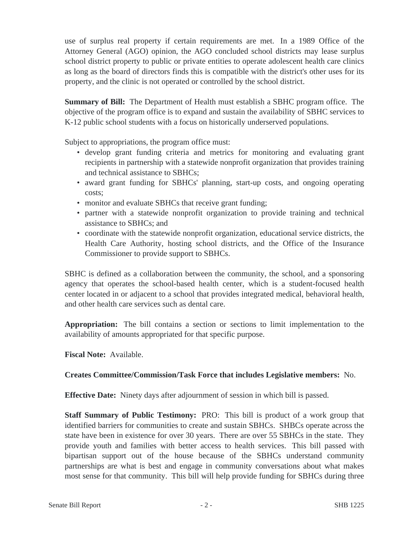use of surplus real property if certain requirements are met. In a 1989 Office of the Attorney General (AGO) opinion, the AGO concluded school districts may lease surplus school district property to public or private entities to operate adolescent health care clinics as long as the board of directors finds this is compatible with the district's other uses for its property, and the clinic is not operated or controlled by the school district.

**Summary of Bill:** The Department of Health must establish a SBHC program office. The objective of the program office is to expand and sustain the availability of SBHC services to K-12 public school students with a focus on historically underserved populations.

Subject to appropriations, the program office must:

- develop grant funding criteria and metrics for monitoring and evaluating grant recipients in partnership with a statewide nonprofit organization that provides training and technical assistance to SBHCs;
- award grant funding for SBHCs' planning, start-up costs, and ongoing operating costs;
- monitor and evaluate SBHCs that receive grant funding;
- partner with a statewide nonprofit organization to provide training and technical assistance to SBHCs; and
- coordinate with the statewide nonprofit organization, educational service districts, the Health Care Authority, hosting school districts, and the Office of the Insurance Commissioner to provide support to SBHCs.

SBHC is defined as a collaboration between the community, the school, and a sponsoring agency that operates the school-based health center, which is a student-focused health center located in or adjacent to a school that provides integrated medical, behavioral health, and other health care services such as dental care.

**Appropriation:** The bill contains a section or sections to limit implementation to the availability of amounts appropriated for that specific purpose.

**Fiscal Note:** Available.

**Creates Committee/Commission/Task Force that includes Legislative members:** No.

**Effective Date:** Ninety days after adjournment of session in which bill is passed.

**Staff Summary of Public Testimony:** PRO: This bill is product of a work group that identified barriers for communities to create and sustain SBHCs. SHBCs operate across the state have been in existence for over 30 years. There are over 55 SBHCs in the state. They provide youth and families with better access to health services. This bill passed with bipartisan support out of the house because of the SBHCs understand community partnerships are what is best and engage in community conversations about what makes most sense for that community. This bill will help provide funding for SBHCs during three